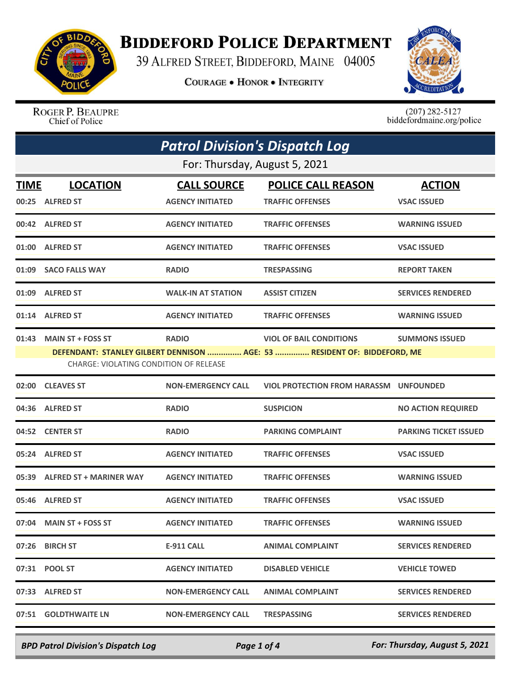

## **BIDDEFORD POLICE DEPARTMENT**

39 ALFRED STREET, BIDDEFORD, MAINE 04005

**COURAGE . HONOR . INTEGRITY** 



ROGER P. BEAUPRE Chief of Police

 $(207)$  282-5127<br>biddefordmaine.org/police

| <b>Patrol Division's Dispatch Log</b>                                                                              |                               |                           |                                               |                              |  |
|--------------------------------------------------------------------------------------------------------------------|-------------------------------|---------------------------|-----------------------------------------------|------------------------------|--|
| For: Thursday, August 5, 2021                                                                                      |                               |                           |                                               |                              |  |
| TIME                                                                                                               | <b>LOCATION</b>               | <b>CALL SOURCE</b>        | <b>POLICE CALL REASON</b>                     | <b>ACTION</b>                |  |
|                                                                                                                    | 00:25 ALFRED ST               | <b>AGENCY INITIATED</b>   | <b>TRAFFIC OFFENSES</b>                       | <b>VSAC ISSUED</b>           |  |
|                                                                                                                    | 00:42 ALFRED ST               | <b>AGENCY INITIATED</b>   | <b>TRAFFIC OFFENSES</b>                       | <b>WARNING ISSUED</b>        |  |
| 01:00                                                                                                              | <b>ALFRED ST</b>              | <b>AGENCY INITIATED</b>   | <b>TRAFFIC OFFENSES</b>                       | <b>VSAC ISSUED</b>           |  |
| 01:09                                                                                                              | <b>SACO FALLS WAY</b>         | <b>RADIO</b>              | <b>TRESPASSING</b>                            | <b>REPORT TAKEN</b>          |  |
|                                                                                                                    | 01:09 ALFRED ST               | <b>WALK-IN AT STATION</b> | <b>ASSIST CITIZEN</b>                         | <b>SERVICES RENDERED</b>     |  |
|                                                                                                                    | 01:14 ALFRED ST               | <b>AGENCY INITIATED</b>   | <b>TRAFFIC OFFENSES</b>                       | <b>WARNING ISSUED</b>        |  |
| 01:43                                                                                                              | <b>MAIN ST + FOSS ST</b>      | <b>RADIO</b>              | <b>VIOL OF BAIL CONDITIONS</b>                | <b>SUMMONS ISSUED</b>        |  |
| DEFENDANT: STANLEY GILBERT DENNISON  AGE: 53  RESIDENT OF: BIDDEFORD, ME<br>CHARGE: VIOLATING CONDITION OF RELEASE |                               |                           |                                               |                              |  |
| 02:00                                                                                                              | <b>CLEAVES ST</b>             | <b>NON-EMERGENCY CALL</b> | <b>VIOL PROTECTION FROM HARASSM UNFOUNDED</b> |                              |  |
| 04:36                                                                                                              | <b>ALFRED ST</b>              | <b>RADIO</b>              | <b>SUSPICION</b>                              | <b>NO ACTION REQUIRED</b>    |  |
| 04:52                                                                                                              | <b>CENTER ST</b>              | <b>RADIO</b>              | <b>PARKING COMPLAINT</b>                      | <b>PARKING TICKET ISSUED</b> |  |
| 05:24                                                                                                              | <b>ALFRED ST</b>              | <b>AGENCY INITIATED</b>   | <b>TRAFFIC OFFENSES</b>                       | <b>VSAC ISSUED</b>           |  |
|                                                                                                                    | 05:39 ALFRED ST + MARINER WAY | <b>AGENCY INITIATED</b>   | <b>TRAFFIC OFFENSES</b>                       | <b>WARNING ISSUED</b>        |  |
| 05:46                                                                                                              | <b>ALFRED ST</b>              | <b>AGENCY INITIATED</b>   | <b>TRAFFIC OFFENSES</b>                       | <b>VSAC ISSUED</b>           |  |
|                                                                                                                    | 07:04 MAIN ST + FOSS ST       | <b>AGENCY INITIATED</b>   | <b>TRAFFIC OFFENSES</b>                       | <b>WARNING ISSUED</b>        |  |
|                                                                                                                    | 07:26 BIRCH ST                | <b>E-911 CALL</b>         | <b>ANIMAL COMPLAINT</b>                       | <b>SERVICES RENDERED</b>     |  |
|                                                                                                                    |                               | <b>AGENCY INITIATED</b>   | <b>DISABLED VEHICLE</b>                       | <b>VEHICLE TOWED</b>         |  |
|                                                                                                                    | 07:33 ALFRED ST               | <b>NON-EMERGENCY CALL</b> | <b>ANIMAL COMPLAINT</b>                       | <b>SERVICES RENDERED</b>     |  |
|                                                                                                                    | 07:51 GOLDTHWAITE LN          | <b>NON-EMERGENCY CALL</b> | <b>TRESPASSING</b>                            | <b>SERVICES RENDERED</b>     |  |

*BPD Patrol Division's Dispatch Log Page 1 of 4 For: Thursday, August 5, 2021*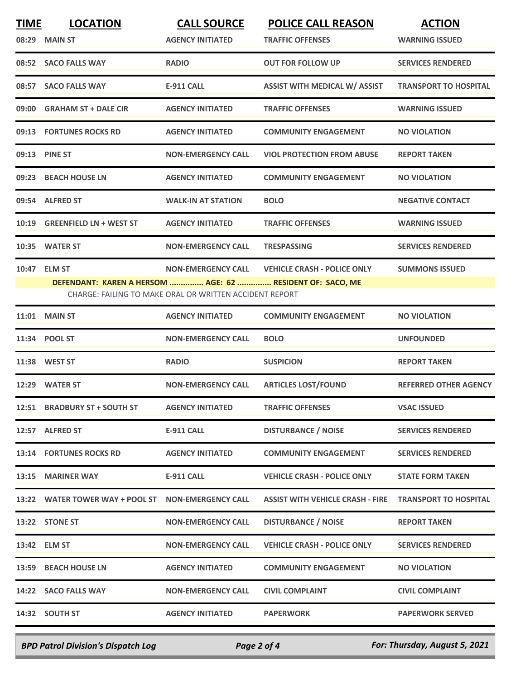| <b>TIME</b> | <b>LOCATION</b><br>08:29 MAIN ST                                          | <b>CALL SOURCE</b><br><b>AGENCY INITIATED</b>                                        | <b>POLICE CALL REASON</b><br><b>TRAFFIC OFFENSES</b> | <b>ACTION</b><br><b>WARNING ISSUED</b> |
|-------------|---------------------------------------------------------------------------|--------------------------------------------------------------------------------------|------------------------------------------------------|----------------------------------------|
|             | 08:52 SACO FALLS WAY                                                      | <b>RADIO</b>                                                                         | <b>OUT FOR FOLLOW UP</b>                             | <b>SERVICES RENDERED</b>               |
| 08:57       | <b>SACO FALLS WAY</b>                                                     | <b>E-911 CALL</b>                                                                    | <b>ASSIST WITH MEDICAL W/ ASSIST</b>                 | <b>TRANSPORT TO HOSPITAL</b>           |
| 09:00       | <b>GRAHAM ST + DALE CIR</b>                                               | <b>AGENCY INITIATED</b>                                                              | <b>TRAFFIC OFFENSES</b>                              | <b>WARNING ISSUED</b>                  |
|             | 09:13 FORTUNES ROCKS RD                                                   | <b>AGENCY INITIATED</b>                                                              | <b>COMMUNITY ENGAGEMENT</b>                          | <b>NO VIOLATION</b>                    |
|             | 09:13 PINE ST                                                             | <b>NON-EMERGENCY CALL</b>                                                            | <b>VIOL PROTECTION FROM ABUSE</b>                    | <b>REPORT TAKEN</b>                    |
| 09:23       | <b>BEACH HOUSE LN</b>                                                     | <b>AGENCY INITIATED</b>                                                              | <b>COMMUNITY ENGAGEMENT</b>                          | <b>NO VIOLATION</b>                    |
| 09:54       | <b>ALFRED ST</b>                                                          | <b>WALK-IN AT STATION</b>                                                            | <b>BOLO</b>                                          | <b>NEGATIVE CONTACT</b>                |
| 10:19       | <b>GREENFIELD LN + WEST ST</b>                                            | <b>AGENCY INITIATED</b>                                                              | <b>TRAFFIC OFFENSES</b>                              | <b>WARNING ISSUED</b>                  |
| 10:35       | <b>WATER ST</b>                                                           | <b>NON-EMERGENCY CALL</b>                                                            | <b>TRESPASSING</b>                                   | <b>SERVICES RENDERED</b>               |
|             | 10:47 ELM ST<br>DEFENDANT: KAREN A HERSOM  AGE: 62  RESIDENT OF: SACO, ME | <b>NON-EMERGENCY CALL</b><br>CHARGE: FAILING TO MAKE ORAL OR WRITTEN ACCIDENT REPORT | <b>VEHICLE CRASH - POLICE ONLY</b>                   | <b>SUMMONS ISSUED</b>                  |
| 11:01       | <b>MAIN ST</b>                                                            | <b>AGENCY INITIATED</b>                                                              | <b>COMMUNITY ENGAGEMENT</b>                          | <b>NO VIOLATION</b>                    |
|             | 11:34 POOL ST                                                             | <b>NON-EMERGENCY CALL</b>                                                            | <b>BOLO</b>                                          | <b>UNFOUNDED</b>                       |
|             | 11:38 WEST ST                                                             | <b>RADIO</b>                                                                         | <b>SUSPICION</b>                                     | <b>REPORT TAKEN</b>                    |
|             | 12:29 WATER ST                                                            | <b>NON-EMERGENCY CALL</b>                                                            | <b>ARTICLES LOST/FOUND</b>                           | <b>REFERRED OTHER AGENCY</b>           |
|             | 12:51 BRADBURY ST + SOUTH ST                                              | <b>AGENCY INITIATED</b>                                                              | <b>TRAFFIC OFFENSES</b>                              | <b>VSAC ISSUED</b>                     |
|             | 12:57 ALFRED ST                                                           | <b>E-911 CALL</b>                                                                    | <b>DISTURBANCE / NOISE</b>                           | <b>SERVICES RENDERED</b>               |
|             | <b>13:14 FORTUNES ROCKS RD</b>                                            | <b>AGENCY INITIATED</b>                                                              | <b>COMMUNITY ENGAGEMENT</b>                          | <b>SERVICES RENDERED</b>               |
|             | 13:15 MARINER WAY                                                         | <b>E-911 CALL</b>                                                                    | <b>VEHICLE CRASH - POLICE ONLY</b>                   | <b>STATE FORM TAKEN</b>                |
|             |                                                                           |                                                                                      | <b>ASSIST WITH VEHICLE CRASH - FIRE</b>              | <b>TRANSPORT TO HOSPITAL</b>           |
|             | 13:22 STONE ST                                                            | <b>NON-EMERGENCY CALL</b>                                                            | <b>DISTURBANCE / NOISE</b>                           | <b>REPORT TAKEN</b>                    |
|             | 13:42 ELM ST                                                              | <b>NON-EMERGENCY CALL</b>                                                            | <b>VEHICLE CRASH - POLICE ONLY</b>                   | <b>SERVICES RENDERED</b>               |
|             | 13:59 BEACH HOUSE LN                                                      | <b>AGENCY INITIATED</b>                                                              | <b>COMMUNITY ENGAGEMENT</b>                          | <b>NO VIOLATION</b>                    |
|             | 14:22 SACO FALLS WAY                                                      | <b>NON-EMERGENCY CALL</b>                                                            | <b>CIVIL COMPLAINT</b>                               | <b>CIVIL COMPLAINT</b>                 |
|             | 14:32 SOUTH ST                                                            | <b>AGENCY INITIATED</b>                                                              | <b>PAPERWORK</b>                                     | <b>PAPERWORK SERVED</b>                |
|             |                                                                           |                                                                                      |                                                      |                                        |

*BPD Patrol Division's Dispatch Log Page 2 of 4 For: Thursday, August 5, 2021*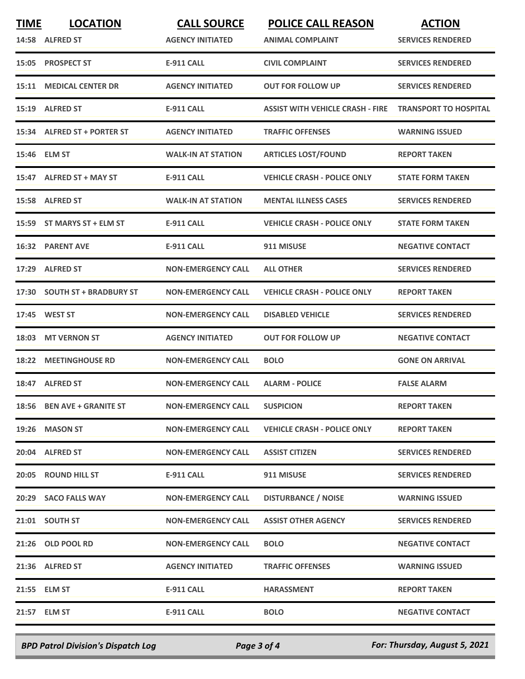| <b>TIME</b> | <b>LOCATION</b><br>14:58 ALFRED ST | <b>CALL SOURCE</b><br><b>AGENCY INITIATED</b> | <b>POLICE CALL REASON</b><br><b>ANIMAL COMPLAINT</b> | <b>ACTION</b><br><b>SERVICES RENDERED</b> |
|-------------|------------------------------------|-----------------------------------------------|------------------------------------------------------|-------------------------------------------|
| 15:05       | <b>PROSPECT ST</b>                 | <b>E-911 CALL</b>                             | <b>CIVIL COMPLAINT</b>                               | <b>SERVICES RENDERED</b>                  |
|             | <b>15:11 MEDICAL CENTER DR</b>     | <b>AGENCY INITIATED</b>                       | <b>OUT FOR FOLLOW UP</b>                             | <b>SERVICES RENDERED</b>                  |
|             | 15:19 ALFRED ST                    | <b>E-911 CALL</b>                             | <b>ASSIST WITH VEHICLE CRASH - FIRE</b>              | <b>TRANSPORT TO HOSPITAL</b>              |
|             | 15:34 ALFRED ST + PORTER ST        | <b>AGENCY INITIATED</b>                       | <b>TRAFFIC OFFENSES</b>                              | <b>WARNING ISSUED</b>                     |
|             | 15:46 ELM ST                       | <b>WALK-IN AT STATION</b>                     | <b>ARTICLES LOST/FOUND</b>                           | <b>REPORT TAKEN</b>                       |
|             | 15:47 ALFRED ST + MAY ST           | <b>E-911 CALL</b>                             | <b>VEHICLE CRASH - POLICE ONLY</b>                   | <b>STATE FORM TAKEN</b>                   |
|             | 15:58 ALFRED ST                    | <b>WALK-IN AT STATION</b>                     | <b>MENTAL ILLNESS CASES</b>                          | <b>SERVICES RENDERED</b>                  |
| 15:59       | ST MARYS ST + ELM ST               | <b>E-911 CALL</b>                             | <b>VEHICLE CRASH - POLICE ONLY</b>                   | <b>STATE FORM TAKEN</b>                   |
|             | <b>16:32 PARENT AVE</b>            | <b>E-911 CALL</b>                             | 911 MISUSE                                           | <b>NEGATIVE CONTACT</b>                   |
| 17:29       | <b>ALFRED ST</b>                   | <b>NON-EMERGENCY CALL</b>                     | <b>ALL OTHER</b>                                     | <b>SERVICES RENDERED</b>                  |
| 17:30       | <b>SOUTH ST + BRADBURY ST</b>      | <b>NON-EMERGENCY CALL</b>                     | <b>VEHICLE CRASH - POLICE ONLY</b>                   | <b>REPORT TAKEN</b>                       |
| 17:45       | <b>WEST ST</b>                     | <b>NON-EMERGENCY CALL</b>                     | <b>DISABLED VEHICLE</b>                              | <b>SERVICES RENDERED</b>                  |
| 18:03       | <b>MT VERNON ST</b>                | <b>AGENCY INITIATED</b>                       | <b>OUT FOR FOLLOW UP</b>                             | <b>NEGATIVE CONTACT</b>                   |
| 18:22       | <b>MEETINGHOUSE RD</b>             | <b>NON-EMERGENCY CALL</b>                     | <b>BOLO</b>                                          | <b>GONE ON ARRIVAL</b>                    |
|             | 18:47 ALFRED ST                    | <b>NON-EMERGENCY CALL</b>                     | <b>ALARM - POLICE</b>                                | <b>FALSE ALARM</b>                        |
|             | 18:56 BEN AVE + GRANITE ST         | <b>NON-EMERGENCY CALL</b>                     | <b>SUSPICION</b>                                     | <b>REPORT TAKEN</b>                       |
|             | 19:26 MASON ST                     | <b>NON-EMERGENCY CALL</b>                     | <b>VEHICLE CRASH - POLICE ONLY</b>                   | <b>REPORT TAKEN</b>                       |
|             | 20:04 ALFRED ST                    | <b>NON-EMERGENCY CALL</b>                     | <b>ASSIST CITIZEN</b>                                | <b>SERVICES RENDERED</b>                  |
|             | 20:05 ROUND HILL ST                | E-911 CALL                                    | 911 MISUSE                                           | <b>SERVICES RENDERED</b>                  |
|             | 20:29 SACO FALLS WAY               | <b>NON-EMERGENCY CALL</b>                     | <b>DISTURBANCE / NOISE</b>                           | <b>WARNING ISSUED</b>                     |
|             | 21:01 SOUTH ST                     | <b>NON-EMERGENCY CALL</b>                     | <b>ASSIST OTHER AGENCY</b>                           | <b>SERVICES RENDERED</b>                  |
|             | 21:26 OLD POOL RD                  | <b>NON-EMERGENCY CALL</b>                     | <b>BOLO</b>                                          | <b>NEGATIVE CONTACT</b>                   |
|             | 21:36 ALFRED ST                    | <b>AGENCY INITIATED</b>                       | <b>TRAFFIC OFFENSES</b>                              | <b>WARNING ISSUED</b>                     |
|             | 21:55 ELM ST                       | E-911 CALL                                    | <b>HARASSMENT</b>                                    | <b>REPORT TAKEN</b>                       |
|             | 21:57 ELM ST                       | E-911 CALL                                    | <b>BOLO</b>                                          | <b>NEGATIVE CONTACT</b>                   |
|             |                                    |                                               |                                                      |                                           |

*BPD Patrol Division's Dispatch Log Page 3 of 4 For: Thursday, August 5, 2021*